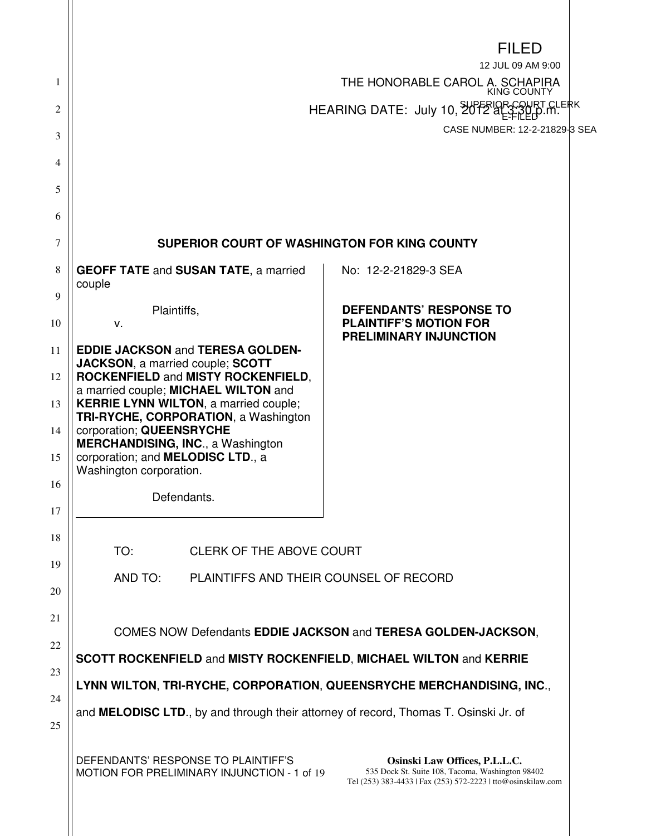|                                                                                                                                                                                                                                                                                                                                                                                                                                                            | <b>FILED</b><br>12 JUL 09 AM 9:00<br>THE HONORABLE CAROL A. SCHAPIRA<br>HEARING DATE: July 10, 20 PM 200 P.M. CLERK<br>CASE NUMBER: 12-2-21829-3 SEA |
|------------------------------------------------------------------------------------------------------------------------------------------------------------------------------------------------------------------------------------------------------------------------------------------------------------------------------------------------------------------------------------------------------------------------------------------------------------|------------------------------------------------------------------------------------------------------------------------------------------------------|
|                                                                                                                                                                                                                                                                                                                                                                                                                                                            |                                                                                                                                                      |
| SUPERIOR COURT OF WASHINGTON FOR KING COUNTY                                                                                                                                                                                                                                                                                                                                                                                                               |                                                                                                                                                      |
| <b>GEOFF TATE and SUSAN TATE, a married</b><br>couple                                                                                                                                                                                                                                                                                                                                                                                                      | No: 12-2-21829-3 SEA                                                                                                                                 |
| Plaintiffs,<br>v.<br><b>EDDIE JACKSON and TERESA GOLDEN-</b><br><b>JACKSON, a married couple; SCOTT</b><br><b>ROCKENFIELD and MISTY ROCKENFIELD,</b><br>a married couple; MICHAEL WILTON and<br><b>KERRIE LYNN WILTON, a married couple;</b><br><b>TRI-RYCHE, CORPORATION, a Washington</b><br>corporation; QUEENSRYCHE<br><b>MERCHANDISING, INC., a Washington</b><br>corporation; and <b>MELODISC LTD.</b> , a<br>Washington corporation.<br>Defendants. | <b>DEFENDANTS' RESPONSE TO</b><br><b>PLAINTIFF'S MOTION FOR</b><br><b>PRELIMINARY INJUNCTION</b>                                                     |
| TO:<br><b>CLERK OF THE ABOVE COURT</b>                                                                                                                                                                                                                                                                                                                                                                                                                     |                                                                                                                                                      |
| <b>AND TO:</b><br>PLAINTIFFS AND THEIR COUNSEL OF RECORD                                                                                                                                                                                                                                                                                                                                                                                                   |                                                                                                                                                      |
| SCOTT ROCKENFIELD and MISTY ROCKENFIELD, MICHAEL WILTON and KERRIE<br>LYNN WILTON, TRI-RYCHE, CORPORATION, QUEENSRYCHE MERCHANDISING, INC.,                                                                                                                                                                                                                                                                                                                | <b>COMES NOW Defendants EDDIE JACKSON and TERESA GOLDEN-JACKSON,</b>                                                                                 |
| and MELODISC LTD., by and through their attorney of record, Thomas T. Osinski Jr. of                                                                                                                                                                                                                                                                                                                                                                       |                                                                                                                                                      |
| DEFENDANTS' RESPONSE TO PLAINTIFF'S<br>MOTION FOR PRELIMINARY INJUNCTION - 1 of 19                                                                                                                                                                                                                                                                                                                                                                         | Osinski Law Offices, P.L.L.C.<br>535 Dock St. Suite 108, Tacoma, Washington 98402<br>Tel (253) 383-4433   Fax (253) 572-2223   tto@osinskilaw.com    |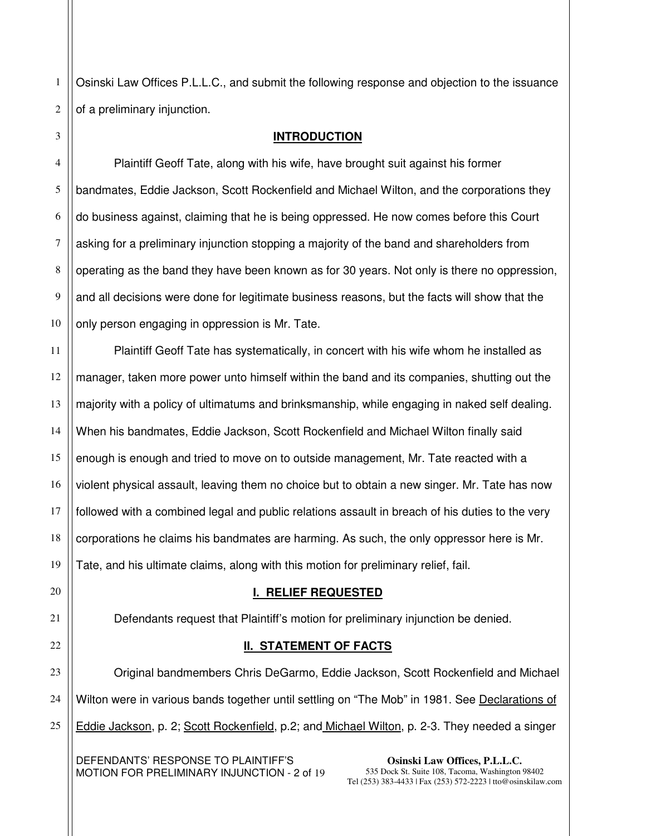1 2 Osinski Law Offices P.L.L.C., and submit the following response and objection to the issuance of a preliminary injunction.

## **INTRODUCTION**

4 5 6 7 8 9 10 Plaintiff Geoff Tate, along with his wife, have brought suit against his former bandmates, Eddie Jackson, Scott Rockenfield and Michael Wilton, and the corporations they do business against, claiming that he is being oppressed. He now comes before this Court asking for a preliminary injunction stopping a majority of the band and shareholders from operating as the band they have been known as for 30 years. Not only is there no oppression, and all decisions were done for legitimate business reasons, but the facts will show that the only person engaging in oppression is Mr. Tate.

11 12 13 14 15 16 17 18 19 Plaintiff Geoff Tate has systematically, in concert with his wife whom he installed as manager, taken more power unto himself within the band and its companies, shutting out the majority with a policy of ultimatums and brinksmanship, while engaging in naked self dealing. When his bandmates, Eddie Jackson, Scott Rockenfield and Michael Wilton finally said enough is enough and tried to move on to outside management, Mr. Tate reacted with a violent physical assault, leaving them no choice but to obtain a new singer. Mr. Tate has now followed with a combined legal and public relations assault in breach of his duties to the very corporations he claims his bandmates are harming. As such, the only oppressor here is Mr. Tate, and his ultimate claims, along with this motion for preliminary relief, fail.

## **I. RELIEF REQUESTED**

20

21

22

23

24

25

3

# **II. STATEMENT OF FACTS**

Defendants request that Plaintiff's motion for preliminary injunction be denied.

Original bandmembers Chris DeGarmo, Eddie Jackson, Scott Rockenfield and Michael Wilton were in various bands together until settling on "The Mob" in 1981. See Declarations of Eddie Jackson, p. 2; Scott Rockenfield, p.2; and Michael Wilton, p. 2-3. They needed a singer

DEFENDANTS' RESPONSE TO PLAINTIFF'S MOTION FOR PRELIMINARY INJUNCTION - 2 of 19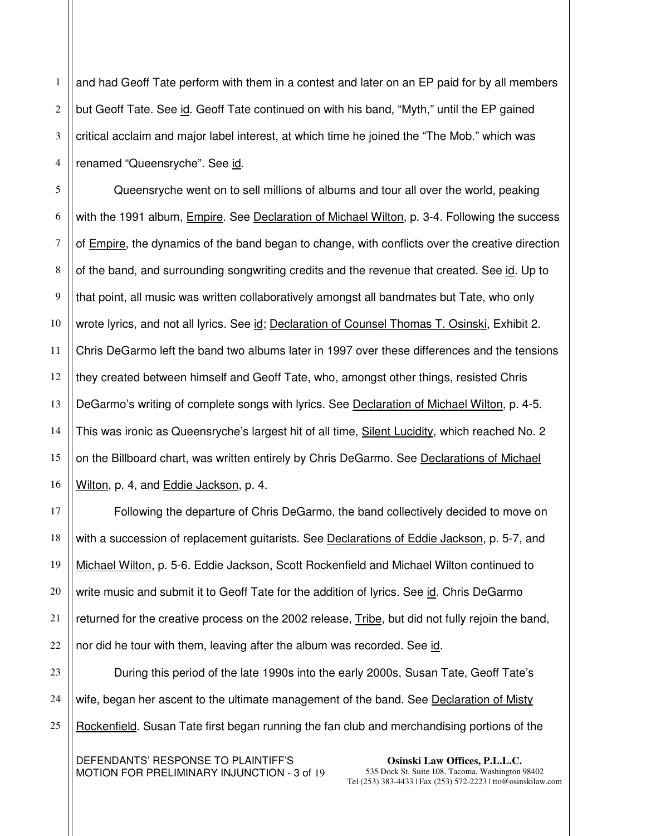1 2 3 4 and had Geoff Tate perform with them in a contest and later on an EP paid for by all members but Geoff Tate. See id. Geoff Tate continued on with his band, "Myth," until the EP gained critical acclaim and major label interest, at which time he joined the "The Mob." which was renamed "Queensryche". See id.

5 6 7 8 9 10 11 12 13 14 15 16 Queensryche went on to sell millions of albums and tour all over the world, peaking with the 1991 album, Empire. See Declaration of Michael Wilton, p. 3-4. Following the success of **Empire**, the dynamics of the band began to change, with conflicts over the creative direction of the band, and surrounding songwriting credits and the revenue that created. See id. Up to that point, all music was written collaboratively amongst all bandmates but Tate, who only wrote lyrics, and not all lyrics. See id; Declaration of Counsel Thomas T. Osinski, Exhibit 2. Chris DeGarmo left the band two albums later in 1997 over these differences and the tensions they created between himself and Geoff Tate, who, amongst other things, resisted Chris DeGarmo's writing of complete songs with lyrics. See Declaration of Michael Wilton, p. 4-5. This was ironic as Queensryche's largest hit of all time, Silent Lucidity, which reached No. 2 on the Billboard chart, was written entirely by Chris DeGarmo. See Declarations of Michael Wilton, p. 4, and Eddie Jackson, p. 4.

Following the departure of Chris DeGarmo, the band collectively decided to move on with a succession of replacement guitarists. See Declarations of Eddie Jackson, p. 5-7, and Michael Wilton, p. 5-6. Eddie Jackson, Scott Rockenfield and Michael Wilton continued to write music and submit it to Geoff Tate for the addition of lyrics. See id. Chris DeGarmo returned for the creative process on the 2002 release, Tribe, but did not fully rejoin the band, nor did he tour with them, leaving after the album was recorded. See id.

23 24 25 During this period of the late 1990s into the early 2000s, Susan Tate, Geoff Tate's wife, began her ascent to the ultimate management of the band. See Declaration of Misty Rockenfield. Susan Tate first began running the fan club and merchandising portions of the

DEFENDANTS' RESPONSE TO PLAINTIFF'S MOTION FOR PRELIMINARY INJUNCTION - 3 of 19

17

18

19

20

21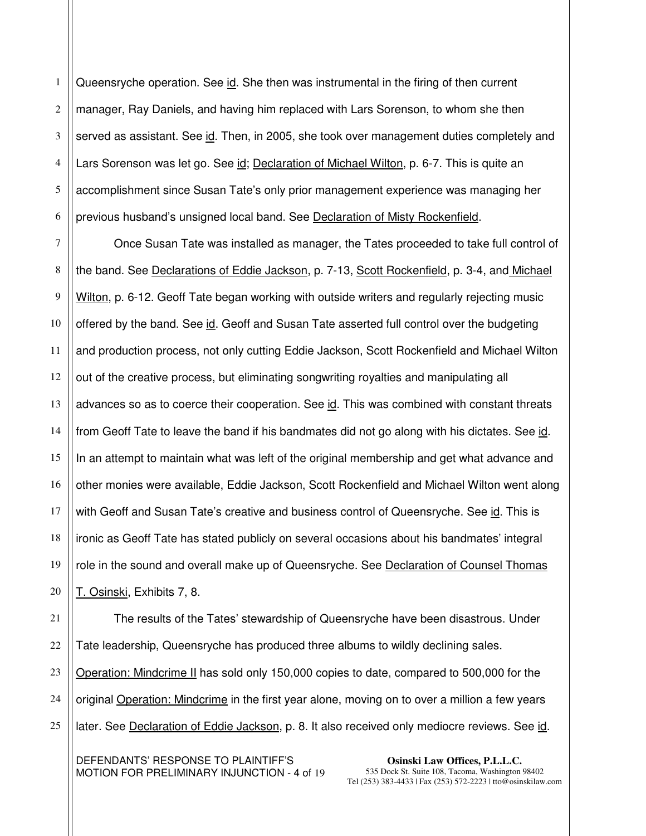1 2 3 4 5 6 Queensryche operation. See id. She then was instrumental in the firing of then current manager, Ray Daniels, and having him replaced with Lars Sorenson, to whom she then served as assistant. See id. Then, in 2005, she took over management duties completely and Lars Sorenson was let go. See id; Declaration of Michael Wilton, p. 6-7. This is quite an accomplishment since Susan Tate's only prior management experience was managing her previous husband's unsigned local band. See Declaration of Misty Rockenfield.

7 8 9 10 11 12 13 14 15 16 17 18 19 20 Once Susan Tate was installed as manager, the Tates proceeded to take full control of the band. See Declarations of Eddie Jackson, p. 7-13, Scott Rockenfield, p. 3-4, and Michael Wilton, p. 6-12. Geoff Tate began working with outside writers and regularly rejecting music offered by the band. See id. Geoff and Susan Tate asserted full control over the budgeting and production process, not only cutting Eddie Jackson, Scott Rockenfield and Michael Wilton out of the creative process, but eliminating songwriting royalties and manipulating all advances so as to coerce their cooperation. See id. This was combined with constant threats from Geoff Tate to leave the band if his bandmates did not go along with his dictates. See id. In an attempt to maintain what was left of the original membership and get what advance and other monies were available, Eddie Jackson, Scott Rockenfield and Michael Wilton went along with Geoff and Susan Tate's creative and business control of Queensryche. See id. This is ironic as Geoff Tate has stated publicly on several occasions about his bandmates' integral role in the sound and overall make up of Queensryche. See Declaration of Counsel Thomas T. Osinski, Exhibits 7, 8.

21 22 23 24 25 The results of the Tates' stewardship of Queensryche have been disastrous. Under Tate leadership, Queensryche has produced three albums to wildly declining sales. Operation: Mindcrime II has sold only 150,000 copies to date, compared to 500,000 for the original Operation: Mindcrime in the first year alone, moving on to over a million a few years later. See Declaration of Eddie Jackson, p. 8. It also received only mediocre reviews. See id.

DEFENDANTS' RESPONSE TO PLAINTIFF'S MOTION FOR PRELIMINARY INJUNCTION - 4 of 19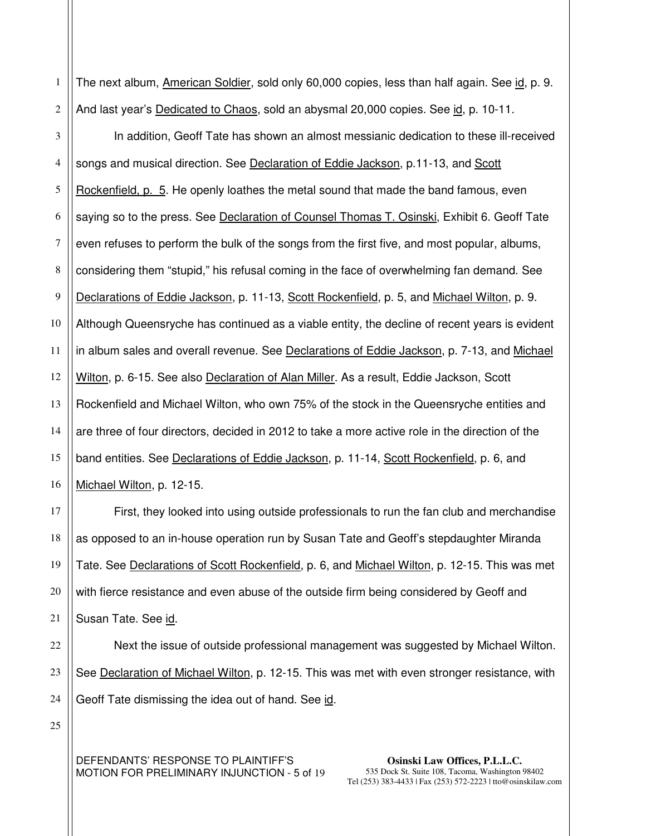1 2 The next album, American Soldier, sold only 60,000 copies, less than half again. See id, p. 9. And last year's Dedicated to Chaos, sold an abysmal 20,000 copies. See id, p. 10-11.

3 4 5 6 7 8 9 10 11 12 13 14 15 16 In addition, Geoff Tate has shown an almost messianic dedication to these ill-received songs and musical direction. See Declaration of Eddie Jackson, p.11-13, and Scott Rockenfield, p. 5. He openly loathes the metal sound that made the band famous, even saying so to the press. See Declaration of Counsel Thomas T. Osinski, Exhibit 6. Geoff Tate even refuses to perform the bulk of the songs from the first five, and most popular, albums, considering them "stupid," his refusal coming in the face of overwhelming fan demand. See Declarations of Eddie Jackson, p. 11-13, Scott Rockenfield, p. 5, and Michael Wilton, p. 9. Although Queensryche has continued as a viable entity, the decline of recent years is evident in album sales and overall revenue. See Declarations of Eddie Jackson, p. 7-13, and Michael Wilton, p. 6-15. See also Declaration of Alan Miller. As a result, Eddie Jackson, Scott Rockenfield and Michael Wilton, who own 75% of the stock in the Queensryche entities and are three of four directors, decided in 2012 to take a more active role in the direction of the band entities. See Declarations of Eddie Jackson, p. 11-14, Scott Rockenfield, p. 6, and Michael Wilton, p. 12-15.

First, they looked into using outside professionals to run the fan club and merchandise as opposed to an in-house operation run by Susan Tate and Geoff's stepdaughter Miranda Tate. See Declarations of Scott Rockenfield, p. 6, and Michael Wilton, p. 12-15. This was met with fierce resistance and even abuse of the outside firm being considered by Geoff and Susan Tate. See id.

22 Next the issue of outside professional management was suggested by Michael Wilton. See Declaration of Michael Wilton, p. 12-15. This was met with even stronger resistance, with Geoff Tate dismissing the idea out of hand. See id.

25

17

18

19

20

21

23

24

#### DEFENDANTS' RESPONSE TO PLAINTIFF'S MOTION FOR PRELIMINARY INJUNCTION - 5 of 19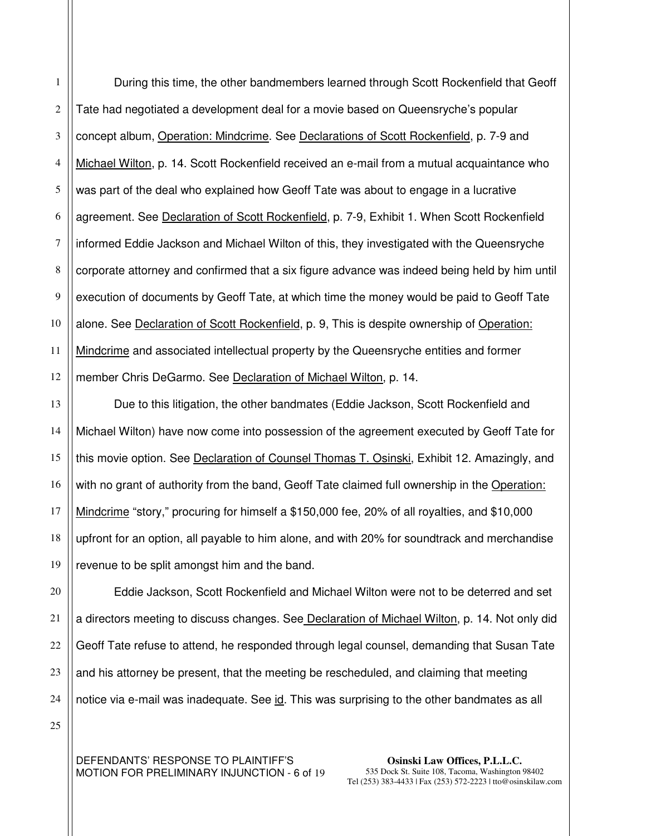2 4 During this time, the other bandmembers learned through Scott Rockenfield that Geoff Tate had negotiated a development deal for a movie based on Queensryche's popular concept album, Operation: Mindcrime. See Declarations of Scott Rockenfield, p. 7-9 and Michael Wilton, p. 14. Scott Rockenfield received an e-mail from a mutual acquaintance who was part of the deal who explained how Geoff Tate was about to engage in a lucrative agreement. See Declaration of Scott Rockenfield, p. 7-9, Exhibit 1. When Scott Rockenfield informed Eddie Jackson and Michael Wilton of this, they investigated with the Queensryche corporate attorney and confirmed that a six figure advance was indeed being held by him until execution of documents by Geoff Tate, at which time the money would be paid to Geoff Tate alone. See Declaration of Scott Rockenfield, p. 9, This is despite ownership of Operation: Mindcrime and associated intellectual property by the Queensryche entities and former member Chris DeGarmo. See Declaration of Michael Wilton, p. 14.

Due to this litigation, the other bandmates (Eddie Jackson, Scott Rockenfield and Michael Wilton) have now come into possession of the agreement executed by Geoff Tate for this movie option. See Declaration of Counsel Thomas T. Osinski, Exhibit 12. Amazingly, and with no grant of authority from the band, Geoff Tate claimed full ownership in the Operation: Mindcrime "story," procuring for himself a \$150,000 fee, 20% of all royalties, and \$10,000 upfront for an option, all payable to him alone, and with 20% for soundtrack and merchandise revenue to be split amongst him and the band.

 Eddie Jackson, Scott Rockenfield and Michael Wilton were not to be deterred and set a directors meeting to discuss changes. See Declaration of Michael Wilton, p. 14. Not only did Geoff Tate refuse to attend, he responded through legal counsel, demanding that Susan Tate and his attorney be present, that the meeting be rescheduled, and claiming that meeting notice via e-mail was inadequate. See id. This was surprising to the other bandmates as all

25

DEFENDANTS' RESPONSE TO PLAINTIFF'S MOTION FOR PRELIMINARY INJUNCTION - 6 of 19

1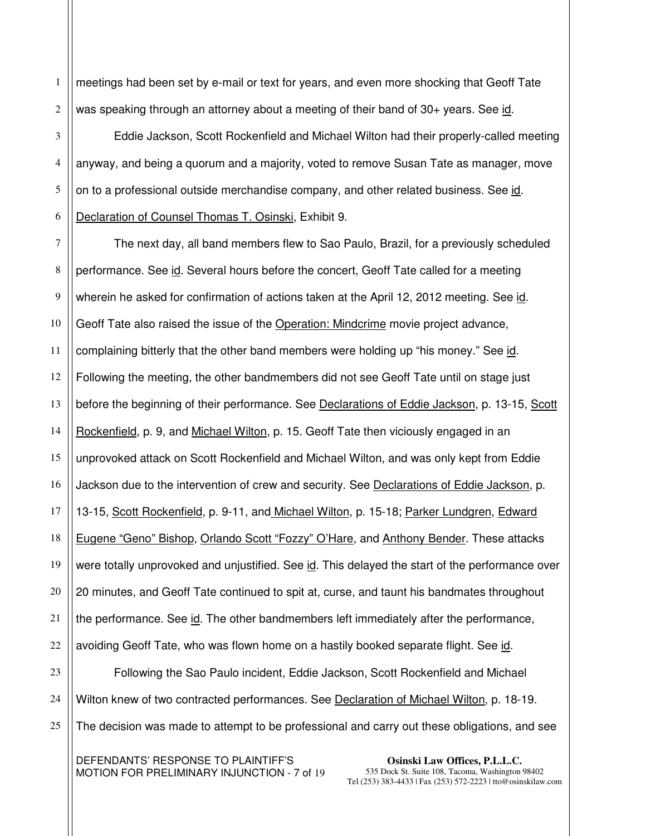1 2 meetings had been set by e-mail or text for years, and even more shocking that Geoff Tate was speaking through an attorney about a meeting of their band of 30+ years. See id.

3 4 5 6 Eddie Jackson, Scott Rockenfield and Michael Wilton had their properly-called meeting anyway, and being a quorum and a majority, voted to remove Susan Tate as manager, move on to a professional outside merchandise company, and other related business. See id. Declaration of Counsel Thomas T. Osinski, Exhibit 9.

7 8 9 10 11 12 13 14 15 16 17 18 19 20 21 22 23 24 The next day, all band members flew to Sao Paulo, Brazil, for a previously scheduled performance. See id. Several hours before the concert, Geoff Tate called for a meeting wherein he asked for confirmation of actions taken at the April 12, 2012 meeting. See id. Geoff Tate also raised the issue of the Operation: Mindcrime movie project advance, complaining bitterly that the other band members were holding up "his money." See id. Following the meeting, the other bandmembers did not see Geoff Tate until on stage just before the beginning of their performance. See Declarations of Eddie Jackson, p. 13-15, Scott Rockenfield, p. 9, and Michael Wilton, p. 15. Geoff Tate then viciously engaged in an unprovoked attack on Scott Rockenfield and Michael Wilton, and was only kept from Eddie Jackson due to the intervention of crew and security. See Declarations of Eddie Jackson, p. 13-15, Scott Rockenfield, p. 9-11, and Michael Wilton, p. 15-18; Parker Lundgren, Edward Eugene "Geno" Bishop, Orlando Scott "Fozzy" O'Hare, and Anthony Bender. These attacks were totally unprovoked and unjustified. See id. This delayed the start of the performance over 20 minutes, and Geoff Tate continued to spit at, curse, and taunt his bandmates throughout the performance. See id. The other bandmembers left immediately after the performance, avoiding Geoff Tate, who was flown home on a hastily booked separate flight. See id. Following the Sao Paulo incident, Eddie Jackson, Scott Rockenfield and Michael Wilton knew of two contracted performances. See Declaration of Michael Wilton, p. 18-19.

25 The decision was made to attempt to be professional and carry out these obligations, and see

DEFENDANTS' RESPONSE TO PLAINTIFF'S MOTION FOR PRELIMINARY INJUNCTION - 7 of 19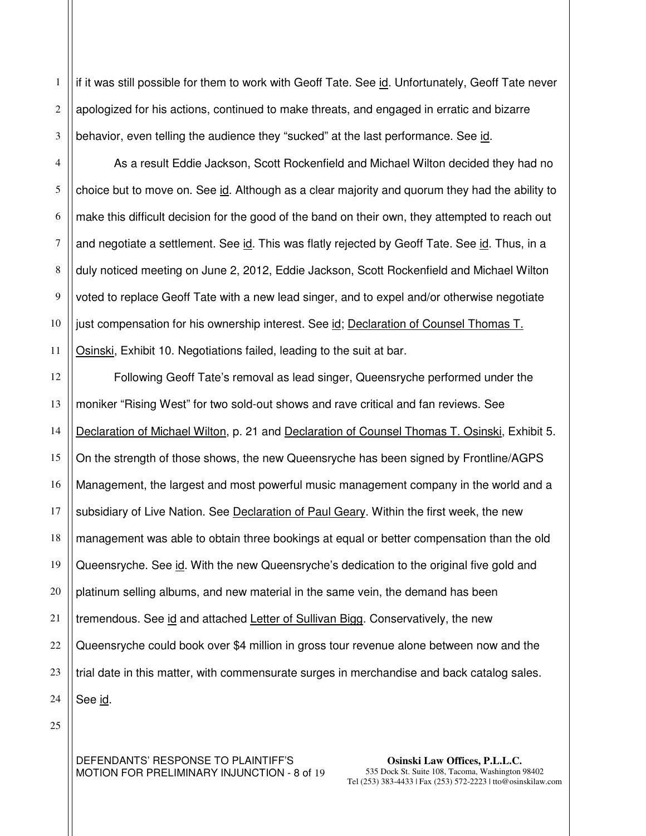2 3 if it was still possible for them to work with Geoff Tate. See id. Unfortunately, Geoff Tate never apologized for his actions, continued to make threats, and engaged in erratic and bizarre behavior, even telling the audience they "sucked" at the last performance. See id.

4 5 6 7 8 9 10 11 As a result Eddie Jackson, Scott Rockenfield and Michael Wilton decided they had no choice but to move on. See id. Although as a clear majority and quorum they had the ability to make this difficult decision for the good of the band on their own, they attempted to reach out and negotiate a settlement. See id. This was flatly rejected by Geoff Tate. See id. Thus, in a duly noticed meeting on June 2, 2012, Eddie Jackson, Scott Rockenfield and Michael Wilton voted to replace Geoff Tate with a new lead singer, and to expel and/or otherwise negotiate just compensation for his ownership interest. See id; Declaration of Counsel Thomas T. Osinski, Exhibit 10. Negotiations failed, leading to the suit at bar.

12 13 14 15 16 17 18 19 20 21 22 23 24 Following Geoff Tate's removal as lead singer, Queensryche performed under the moniker "Rising West" for two sold-out shows and rave critical and fan reviews. See Declaration of Michael Wilton, p. 21 and Declaration of Counsel Thomas T. Osinski, Exhibit 5. On the strength of those shows, the new Queensryche has been signed by Frontline/AGPS Management, the largest and most powerful music management company in the world and a subsidiary of Live Nation. See Declaration of Paul Geary. Within the first week, the new management was able to obtain three bookings at equal or better compensation than the old Queensryche. See id. With the new Queensryche's dedication to the original five gold and platinum selling albums, and new material in the same vein, the demand has been tremendous. See id and attached Letter of Sullivan Bigg. Conservatively, the new Queensryche could book over \$4 million in gross tour revenue alone between now and the trial date in this matter, with commensurate surges in merchandise and back catalog sales. See id.

25

1

DEFENDANTS' RESPONSE TO PLAINTIFF'S MOTION FOR PRELIMINARY INJUNCTION - 8 of 19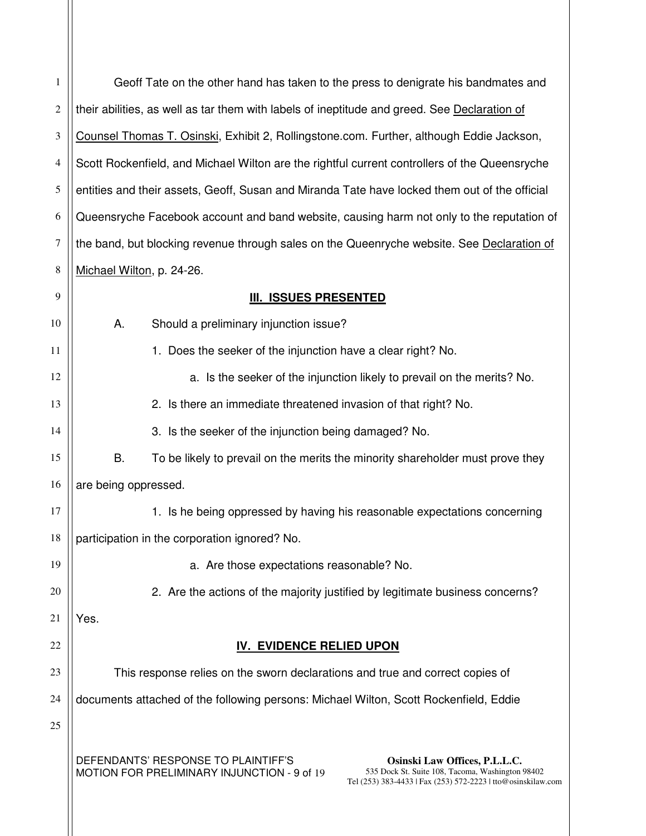| $\mathbf{1}$     | Geoff Tate on the other hand has taken to the press to denigrate his bandmates and                                                                                                                                                      |
|------------------|-----------------------------------------------------------------------------------------------------------------------------------------------------------------------------------------------------------------------------------------|
| 2                | their abilities, as well as tar them with labels of ineptitude and greed. See Declaration of                                                                                                                                            |
| 3                | Counsel Thomas T. Osinski, Exhibit 2, Rollingstone.com. Further, although Eddie Jackson,                                                                                                                                                |
| $\overline{4}$   | Scott Rockenfield, and Michael Wilton are the rightful current controllers of the Queensryche                                                                                                                                           |
| 5                | entities and their assets, Geoff, Susan and Miranda Tate have locked them out of the official                                                                                                                                           |
| 6                | Queensryche Facebook account and band website, causing harm not only to the reputation of                                                                                                                                               |
| $\boldsymbol{7}$ | the band, but blocking revenue through sales on the Queenryche website. See Declaration of                                                                                                                                              |
| $\,8\,$          | Michael Wilton, p. 24-26.                                                                                                                                                                                                               |
| 9                | III. ISSUES PRESENTED                                                                                                                                                                                                                   |
| 10               | Should a preliminary injunction issue?<br>А.                                                                                                                                                                                            |
| 11               | 1. Does the seeker of the injunction have a clear right? No.                                                                                                                                                                            |
| 12               | a. Is the seeker of the injunction likely to prevail on the merits? No.                                                                                                                                                                 |
| 13               | 2. Is there an immediate threatened invasion of that right? No.                                                                                                                                                                         |
| 14               | 3. Is the seeker of the injunction being damaged? No.                                                                                                                                                                                   |
| 15               | В.<br>To be likely to prevail on the merits the minority shareholder must prove they                                                                                                                                                    |
| 16               | are being oppressed.                                                                                                                                                                                                                    |
| 17               | 1. Is he being oppressed by having his reasonable expectations concerning                                                                                                                                                               |
| 18               | participation in the corporation ignored? No.                                                                                                                                                                                           |
| 19               | a. Are those expectations reasonable? No.                                                                                                                                                                                               |
| 20               | 2. Are the actions of the majority justified by legitimate business concerns?                                                                                                                                                           |
| 21               | Yes.                                                                                                                                                                                                                                    |
| 22               | <b>IV. EVIDENCE RELIED UPON</b>                                                                                                                                                                                                         |
| 23               | This response relies on the sworn declarations and true and correct copies of                                                                                                                                                           |
| 24               | documents attached of the following persons: Michael Wilton, Scott Rockenfield, Eddie                                                                                                                                                   |
| 25               |                                                                                                                                                                                                                                         |
|                  | DEFENDANTS' RESPONSE TO PLAINTIFF'S<br>Osinski Law Offices, P.L.L.C.<br>535 Dock St. Suite 108, Tacoma, Washington 98402<br>MOTION FOR PRELIMINARY INJUNCTION - 9 of 19<br>Tel (253) 383-4433   Fax (253) 572-2223   tto@osinskilaw.com |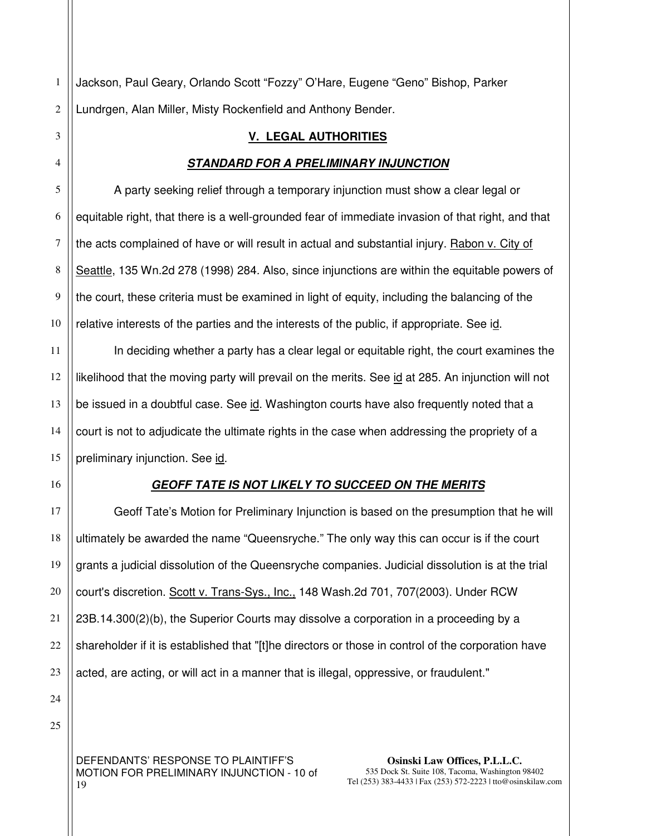Jackson, Paul Geary, Orlando Scott "Fozzy" O'Hare, Eugene "Geno" Bishop, Parker Lundrgen, Alan Miller, Misty Rockenfield and Anthony Bender.

#### **V. LEGAL AUTHORITIES**

#### **STANDARD FOR A PRELIMINARY INJUNCTION**

A party seeking relief through a temporary injunction must show a clear legal or equitable right, that there is a well-grounded fear of immediate invasion of that right, and that the acts complained of have or will result in actual and substantial injury. Rabon v. City of Seattle, 135 Wn.2d 278 (1998) 284. Also, since injunctions are within the equitable powers of the court, these criteria must be examined in light of equity, including the balancing of the relative interests of the parties and the interests of the public, if appropriate. See id.

 In deciding whether a party has a clear legal or equitable right, the court examines the likelihood that the moving party will prevail on the merits. See id at 285. An injunction will not be issued in a doubtful case. See id. Washington courts have also frequently noted that a court is not to adjudicate the ultimate rights in the case when addressing the propriety of a preliminary injunction. See id.

## **GEOFF TATE IS NOT LIKELY TO SUCCEED ON THE MERITS**

Geoff Tate's Motion for Preliminary Injunction is based on the presumption that he will ultimately be awarded the name "Queensryche." The only way this can occur is if the court grants a judicial dissolution of the Queensryche companies. Judicial dissolution is at the trial court's discretion. Scott v. Trans-Sys., Inc., 148 Wash.2d 701, 707(2003). Under RCW 23B.14.300(2)(b), the Superior Courts may dissolve a corporation in a proceeding by a shareholder if it is established that "[t]he directors or those in control of the corporation have acted, are acting, or will act in a manner that is illegal, oppressive, or fraudulent."

25

DEFENDANTS' RESPONSE TO PLAINTIFF'S MOTION FOR PRELIMINARY INJUNCTION - 10 of 19

1

2

3

4

5

6

7

8

9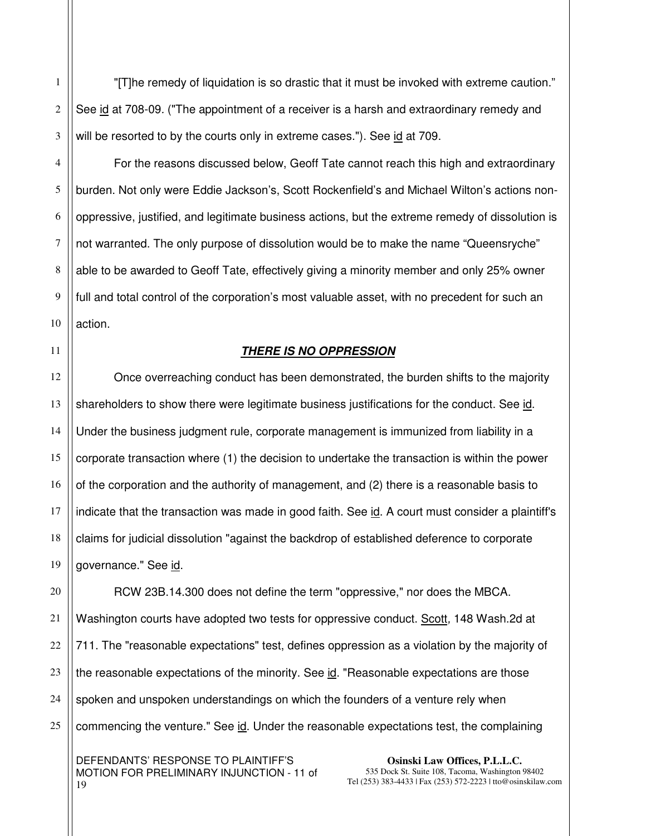"[T]he remedy of liquidation is so drastic that it must be invoked with extreme caution." See id at 708-09. ("The appointment of a receiver is a harsh and extraordinary remedy and will be resorted to by the courts only in extreme cases."). See id at 709.

For the reasons discussed below, Geoff Tate cannot reach this high and extraordinary burden. Not only were Eddie Jackson's, Scott Rockenfield's and Michael Wilton's actions nonoppressive, justified, and legitimate business actions, but the extreme remedy of dissolution is not warranted. The only purpose of dissolution would be to make the name "Queensryche" able to be awarded to Geoff Tate, effectively giving a minority member and only 25% owner full and total control of the corporation's most valuable asset, with no precedent for such an action.

## **THERE IS NO OPPRESSION**

Once overreaching conduct has been demonstrated, the burden shifts to the majority shareholders to show there were legitimate business justifications for the conduct. See id. Under the business judgment rule, corporate management is immunized from liability in a corporate transaction where (1) the decision to undertake the transaction is within the power of the corporation and the authority of management, and (2) there is a reasonable basis to indicate that the transaction was made in good faith. See id. A court must consider a plaintiff's claims for judicial dissolution "against the backdrop of established deference to corporate governance." See id.

 RCW 23B.14.300 does not define the term "oppressive," nor does the MBCA. Washington courts have adopted two tests for oppressive conduct. Scott, 148 Wash.2d at 711. The "reasonable expectations" test, defines oppression as a violation by the majority of the reasonable expectations of the minority. See id. "Reasonable expectations are those spoken and unspoken understandings on which the founders of a venture rely when commencing the venture." See id. Under the reasonable expectations test, the complaining

DEFENDANTS' RESPONSE TO PLAINTIFF'S MOTION FOR PRELIMINARY INJUNCTION - 11 of 19

1

2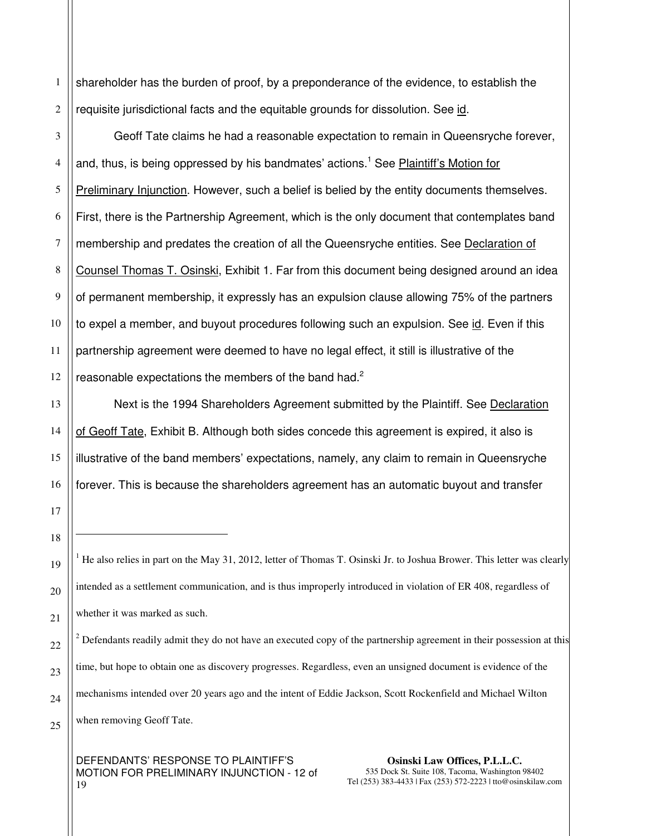1 2 shareholder has the burden of proof, by a preponderance of the evidence, to establish the requisite jurisdictional facts and the equitable grounds for dissolution. See id.

3 4 Geoff Tate claims he had a reasonable expectation to remain in Queensryche forever, and, thus, is being oppressed by his bandmates' actions.<sup>1</sup> See Plaintiff's Motion for Preliminary Injunction. However, such a belief is belied by the entity documents themselves. First, there is the Partnership Agreement, which is the only document that contemplates band membership and predates the creation of all the Queensryche entities. See Declaration of Counsel Thomas T. Osinski, Exhibit 1. Far from this document being designed around an idea of permanent membership, it expressly has an expulsion clause allowing 75% of the partners to expel a member, and buyout procedures following such an expulsion. See id. Even if this partnership agreement were deemed to have no legal effect, it still is illustrative of the reasonable expectations the members of the band had. $^2$ 

 Next is the 1994 Shareholders Agreement submitted by the Plaintiff. See Declaration of Geoff Tate, Exhibit B. Although both sides concede this agreement is expired, it also is illustrative of the band members' expectations, namely, any claim to remain in Queensryche forever. This is because the shareholders agreement has an automatic buyout and transfer

<sup>1</sup> He also relies in part on the May 31, 2012, letter of Thomas T. Osinski Jr. to Joshua Brower. This letter was clearly intended as a settlement communication, and is thus improperly introduced in violation of ER 408, regardless of whether it was marked as such.

 $2^{2}$  Defendants readily admit they do not have an executed copy of the partnership agreement in their possession at this time, but hope to obtain one as discovery progresses. Regardless, even an unsigned document is evidence of the mechanisms intended over 20 years ago and the intent of Eddie Jackson, Scott Rockenfield and Michael Wilton when removing Geoff Tate.

#### DEFENDANTS' RESPONSE TO PLAINTIFF'S MOTION FOR PRELIMINARY INJUNCTION - 12 of 19

-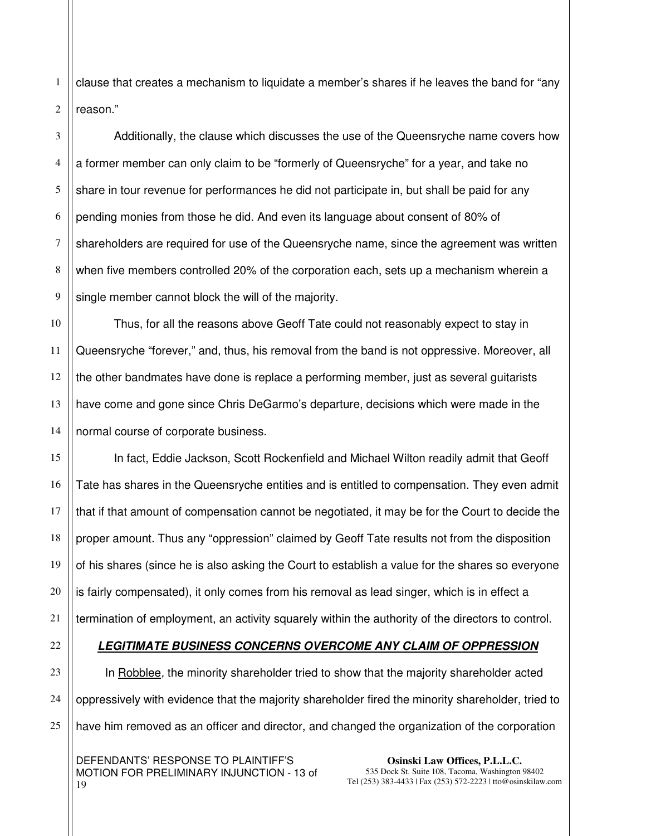2 clause that creates a mechanism to liquidate a member's shares if he leaves the band for "any reason."

3 4 5 6 7 8 9 Additionally, the clause which discusses the use of the Queensryche name covers how a former member can only claim to be "formerly of Queensryche" for a year, and take no share in tour revenue for performances he did not participate in, but shall be paid for any pending monies from those he did. And even its language about consent of 80% of shareholders are required for use of the Queensryche name, since the agreement was written when five members controlled 20% of the corporation each, sets up a mechanism wherein a single member cannot block the will of the majority.

10 11 12 13 14 Thus, for all the reasons above Geoff Tate could not reasonably expect to stay in Queensryche "forever," and, thus, his removal from the band is not oppressive. Moreover, all the other bandmates have done is replace a performing member, just as several guitarists have come and gone since Chris DeGarmo's departure, decisions which were made in the normal course of corporate business.

15 16 17 18 19 20 In fact, Eddie Jackson, Scott Rockenfield and Michael Wilton readily admit that Geoff Tate has shares in the Queensryche entities and is entitled to compensation. They even admit that if that amount of compensation cannot be negotiated, it may be for the Court to decide the proper amount. Thus any "oppression" claimed by Geoff Tate results not from the disposition of his shares (since he is also asking the Court to establish a value for the shares so everyone is fairly compensated), it only comes from his removal as lead singer, which is in effect a termination of employment, an activity squarely within the authority of the directors to control.

22

21

23

24

25

1

## **LEGITIMATE BUSINESS CONCERNS OVERCOME ANY CLAIM OF OPPRESSION**

In Robblee, the minority shareholder tried to show that the majority shareholder acted oppressively with evidence that the majority shareholder fired the minority shareholder, tried to have him removed as an officer and director, and changed the organization of the corporation

DEFENDANTS' RESPONSE TO PLAINTIFF'S MOTION FOR PRELIMINARY INJUNCTION - 13 of 19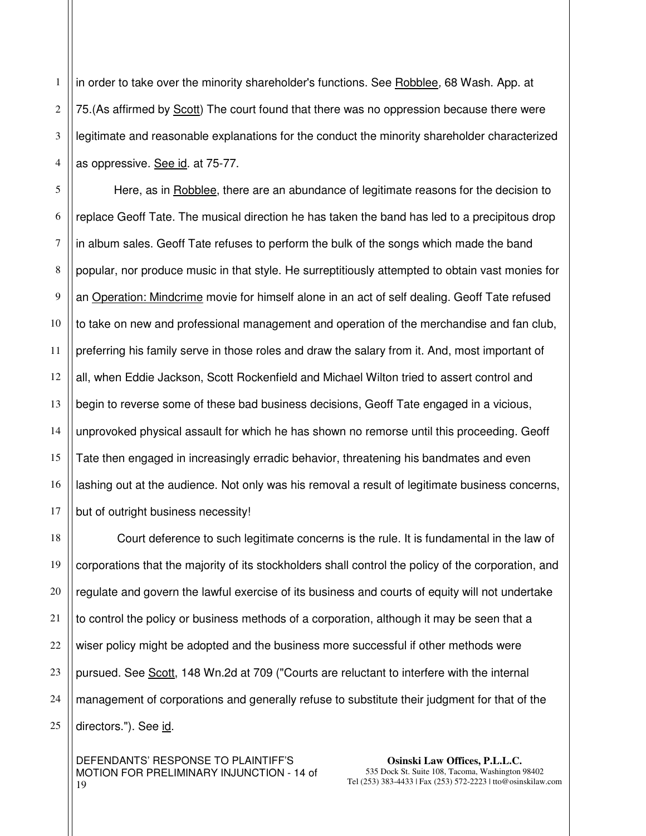1 2 3 4 in order to take over the minority shareholder's functions. See Robblee, 68 Wash. App. at 75. (As affirmed by Scott) The court found that there was no oppression because there were legitimate and reasonable explanations for the conduct the minority shareholder characterized as oppressive. See id. at 75-77.

5 6 7 8 9 10 11 12 13 14 15 16 17 Here, as in Robblee, there are an abundance of legitimate reasons for the decision to replace Geoff Tate. The musical direction he has taken the band has led to a precipitous drop in album sales. Geoff Tate refuses to perform the bulk of the songs which made the band popular, nor produce music in that style. He surreptitiously attempted to obtain vast monies for an Operation: Mindcrime movie for himself alone in an act of self dealing. Geoff Tate refused to take on new and professional management and operation of the merchandise and fan club, preferring his family serve in those roles and draw the salary from it. And, most important of all, when Eddie Jackson, Scott Rockenfield and Michael Wilton tried to assert control and begin to reverse some of these bad business decisions, Geoff Tate engaged in a vicious, unprovoked physical assault for which he has shown no remorse until this proceeding. Geoff Tate then engaged in increasingly erradic behavior, threatening his bandmates and even lashing out at the audience. Not only was his removal a result of legitimate business concerns, but of outright business necessity!

18 19 20 21 22 23 24 25 Court deference to such legitimate concerns is the rule. It is fundamental in the law of corporations that the majority of its stockholders shall control the policy of the corporation, and regulate and govern the lawful exercise of its business and courts of equity will not undertake to control the policy or business methods of a corporation, although it may be seen that a wiser policy might be adopted and the business more successful if other methods were pursued. See Scott, 148 Wn.2d at 709 ("Courts are reluctant to interfere with the internal management of corporations and generally refuse to substitute their judgment for that of the directors."). See id.

DEFENDANTS' RESPONSE TO PLAINTIFF'S MOTION FOR PRELIMINARY INJUNCTION - 14 of 19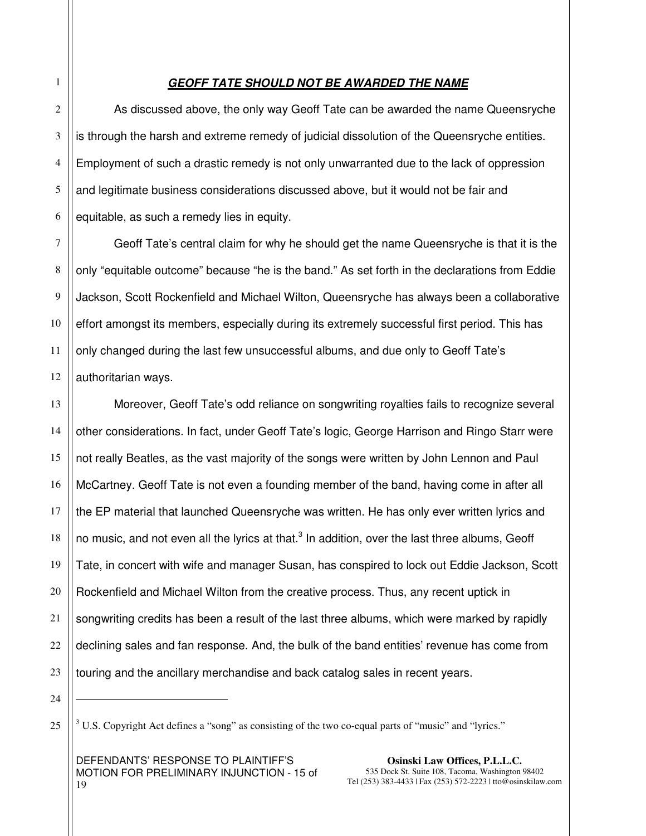## **GEOFF TATE SHOULD NOT BE AWARDED THE NAME**

As discussed above, the only way Geoff Tate can be awarded the name Queensryche is through the harsh and extreme remedy of judicial dissolution of the Queensryche entities. Employment of such a drastic remedy is not only unwarranted due to the lack of oppression and legitimate business considerations discussed above, but it would not be fair and equitable, as such a remedy lies in equity.

7 8 9 10 11 12 Geoff Tate's central claim for why he should get the name Queensryche is that it is the only "equitable outcome" because "he is the band." As set forth in the declarations from Eddie Jackson, Scott Rockenfield and Michael Wilton, Queensryche has always been a collaborative effort amongst its members, especially during its extremely successful first period. This has only changed during the last few unsuccessful albums, and due only to Geoff Tate's authoritarian ways.

13 14 15 16 17 18 19 20 21 22 23 Moreover, Geoff Tate's odd reliance on songwriting royalties fails to recognize several other considerations. In fact, under Geoff Tate's logic, George Harrison and Ringo Starr were not really Beatles, as the vast majority of the songs were written by John Lennon and Paul McCartney. Geoff Tate is not even a founding member of the band, having come in after all the EP material that launched Queensryche was written. He has only ever written lyrics and no music, and not even all the lyrics at that. $3$  In addition, over the last three albums, Geoff Tate, in concert with wife and manager Susan, has conspired to lock out Eddie Jackson, Scott Rockenfield and Michael Wilton from the creative process. Thus, any recent uptick in songwriting credits has been a result of the last three albums, which were marked by rapidly declining sales and fan response. And, the bulk of the band entities' revenue has come from touring and the ancillary merchandise and back catalog sales in recent years.

24

j

25

1

2

3

4

5

6

DEFENDANTS' RESPONSE TO PLAINTIFF'S MOTION FOR PRELIMINARY INJUNCTION - 15 of 19

 $3$  U.S. Copyright Act defines a "song" as consisting of the two co-equal parts of "music" and "lyrics."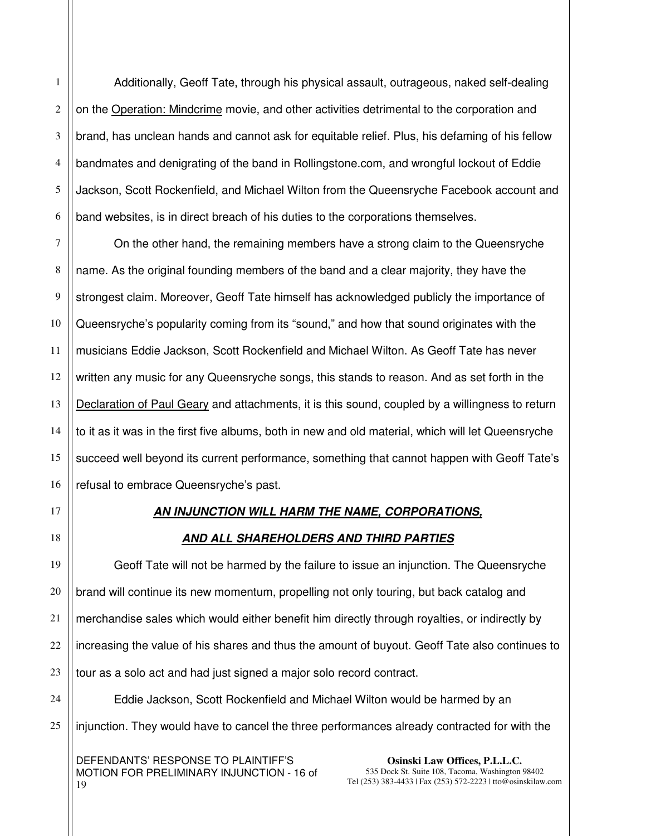Additionally, Geoff Tate, through his physical assault, outrageous, naked self-dealing on the Operation: Mindcrime movie, and other activities detrimental to the corporation and brand, has unclean hands and cannot ask for equitable relief. Plus, his defaming of his fellow bandmates and denigrating of the band in Rollingstone.com, and wrongful lockout of Eddie Jackson, Scott Rockenfield, and Michael Wilton from the Queensryche Facebook account and band websites, is in direct breach of his duties to the corporations themselves.

7 8 9 On the other hand, the remaining members have a strong claim to the Queensryche name. As the original founding members of the band and a clear majority, they have the strongest claim. Moreover, Geoff Tate himself has acknowledged publicly the importance of Queensryche's popularity coming from its "sound," and how that sound originates with the musicians Eddie Jackson, Scott Rockenfield and Michael Wilton. As Geoff Tate has never written any music for any Queensryche songs, this stands to reason. And as set forth in the Declaration of Paul Geary and attachments, it is this sound, coupled by a willingness to return to it as it was in the first five albums, both in new and old material, which will let Queensryche succeed well beyond its current performance, something that cannot happen with Geoff Tate's refusal to embrace Queensryche's past.

24

25

## **AN INJUNCTION WILL HARM THE NAME, CORPORATIONS,**

## **AND ALL SHAREHOLDERS AND THIRD PARTIES**

23 Geoff Tate will not be harmed by the failure to issue an injunction. The Queensryche brand will continue its new momentum, propelling not only touring, but back catalog and merchandise sales which would either benefit him directly through royalties, or indirectly by increasing the value of his shares and thus the amount of buyout. Geoff Tate also continues to tour as a solo act and had just signed a major solo record contract.

Eddie Jackson, Scott Rockenfield and Michael Wilton would be harmed by an injunction. They would have to cancel the three performances already contracted for with the

DEFENDANTS' RESPONSE TO PLAINTIFF'S MOTION FOR PRELIMINARY INJUNCTION - 16 of 19

**Osinski Law Offices, P.L.L.C.**  535 Dock St. Suite 108, Tacoma, Washington 98402 Tel (253) 383-4433 | Fax (253) 572-2223 | tto@osinskilaw.com

1

2

3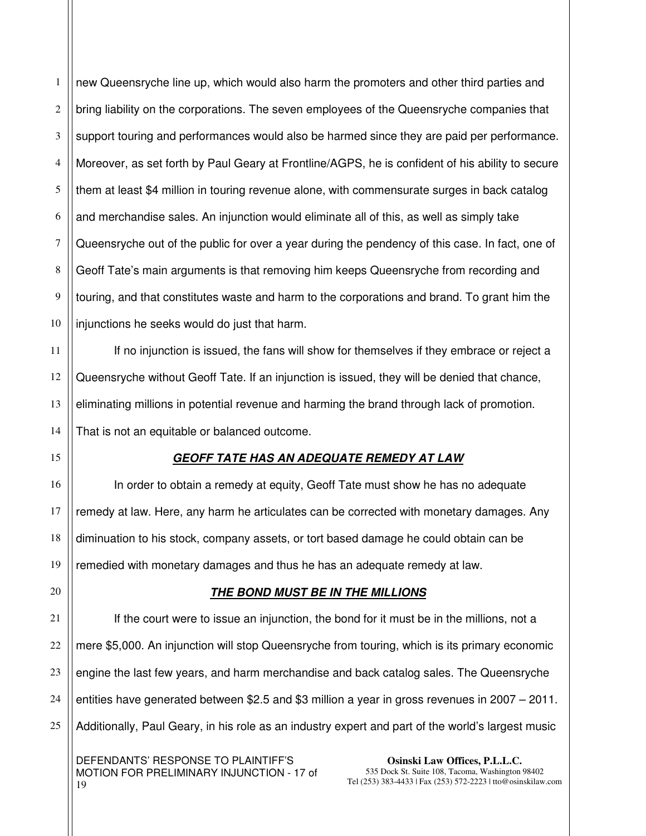1 2 3 4 5 6 7 8 9 10 new Queensryche line up, which would also harm the promoters and other third parties and bring liability on the corporations. The seven employees of the Queensryche companies that support touring and performances would also be harmed since they are paid per performance. Moreover, as set forth by Paul Geary at Frontline/AGPS, he is confident of his ability to secure them at least \$4 million in touring revenue alone, with commensurate surges in back catalog and merchandise sales. An injunction would eliminate all of this, as well as simply take Queensryche out of the public for over a year during the pendency of this case. In fact, one of Geoff Tate's main arguments is that removing him keeps Queensryche from recording and touring, and that constitutes waste and harm to the corporations and brand. To grant him the injunctions he seeks would do just that harm.

11 12 If no injunction is issued, the fans will show for themselves if they embrace or reject a Queensryche without Geoff Tate. If an injunction is issued, they will be denied that chance, eliminating millions in potential revenue and harming the brand through lack of promotion. That is not an equitable or balanced outcome.

## **GEOFF TATE HAS AN ADEQUATE REMEDY AT LAW**

In order to obtain a remedy at equity, Geoff Tate must show he has no adequate remedy at law. Here, any harm he articulates can be corrected with monetary damages. Any diminuation to his stock, company assets, or tort based damage he could obtain can be remedied with monetary damages and thus he has an adequate remedy at law.

## **THE BOND MUST BE IN THE MILLIONS**

If the court were to issue an injunction, the bond for it must be in the millions, not a mere \$5,000. An injunction will stop Queensryche from touring, which is its primary economic engine the last few years, and harm merchandise and back catalog sales. The Queensryche entities have generated between \$2.5 and \$3 million a year in gross revenues in 2007 – 2011. Additionally, Paul Geary, in his role as an industry expert and part of the world's largest music

DEFENDANTS' RESPONSE TO PLAINTIFF'S MOTION FOR PRELIMINARY INJUNCTION - 17 of 19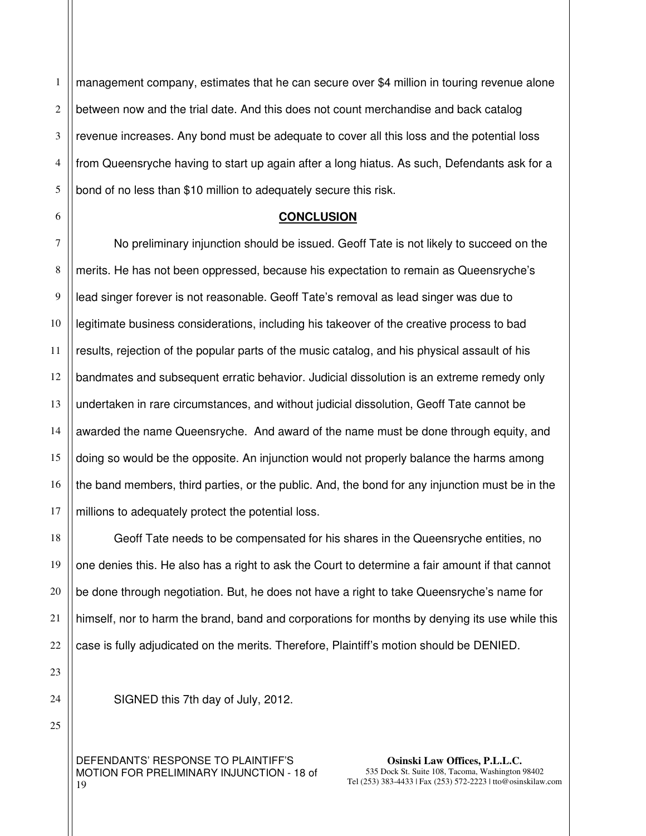1 2 3 4 5 management company, estimates that he can secure over \$4 million in touring revenue alone between now and the trial date. And this does not count merchandise and back catalog revenue increases. Any bond must be adequate to cover all this loss and the potential loss from Queensryche having to start up again after a long hiatus. As such, Defendants ask for a bond of no less than \$10 million to adequately secure this risk.

#### **CONCLUSION**

No preliminary injunction should be issued. Geoff Tate is not likely to succeed on the merits. He has not been oppressed, because his expectation to remain as Queensryche's lead singer forever is not reasonable. Geoff Tate's removal as lead singer was due to legitimate business considerations, including his takeover of the creative process to bad results, rejection of the popular parts of the music catalog, and his physical assault of his bandmates and subsequent erratic behavior. Judicial dissolution is an extreme remedy only undertaken in rare circumstances, and without judicial dissolution, Geoff Tate cannot be awarded the name Queensryche. And award of the name must be done through equity, and doing so would be the opposite. An injunction would not properly balance the harms among the band members, third parties, or the public. And, the bond for any injunction must be in the millions to adequately protect the potential loss.

 Geoff Tate needs to be compensated for his shares in the Queensryche entities, no one denies this. He also has a right to ask the Court to determine a fair amount if that cannot be done through negotiation. But, he does not have a right to take Queensryche's name for himself, nor to harm the brand, band and corporations for months by denying its use while this case is fully adjudicated on the merits. Therefore, Plaintiff's motion should be DENIED.

SIGNED this 7th day of July, 2012.

DEFENDANTS' RESPONSE TO PLAINTIFF'S MOTION FOR PRELIMINARY INJUNCTION - 18 of 19